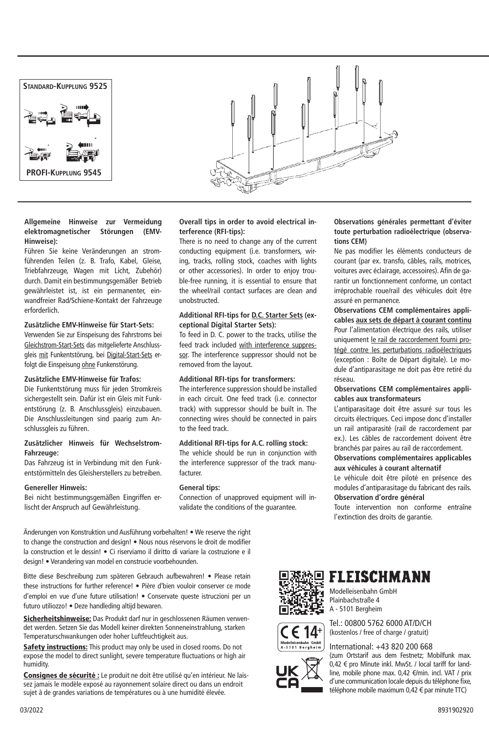

#### **Allgemeine Hinweise zur Vermeidung elektromagnetischer Störungen (EMV-Hinweise):**

Führen Sie keine Veränderungen an stromführenden Teilen (z. B. Trafo, Kabel, Gleise, Triebfahrzeuge, Wagen mit Licht, Zubehör) durch. Damit ein bestimmungsgemäßer Betrieb gewährleistet ist, ist ein permanenter, einwandfreier Rad/Schiene-Kontakt der Fahrzeuge erforderlich.

#### **Zusätzliche EMV-Hinweise für Start-Sets:**

Verwenden Sie zur Einspeisung des Fahrstroms bei Gleichstrom-Start-Sets das mitgelieferte Anschlussgleis mit Funkentstörung, bei Digital-Start-Sets erfolgt die Einspeisung ohne Funkenstörung.

#### **Zusätzliche EMV-Hinweise für Trafos:**

Die Funkentstörung muss für jeden Stromkreis sichergestellt sein. Dafür ist ein Gleis mit Funkentstörung (z. B. Anschlussgleis) einzubauen. Die Anschlussleitungen sind paarig zum Anschlussgleis zu führen.

#### **Zusätzlicher Hinweis für Wechselstrom-Fahrzeuge:**

Das Fahrzeug ist in Verbindung mit den Funkentstörmitteln des Gleisherstellers zu betreiben.

#### **Genereller Hinweis:**

Bei nicht bestimmungsgemäßen Eingriffen erlischt der Anspruch auf Gewährleistung.

**Overall tips in order to avoid electrical interference (RFI-tips):**

There is no need to change any of the current conducting equipment (i.e. transformers, wiring, tracks, rolling stock, coaches with lights or other accessories). In order to enjoy trouble-free running, it is essential to ensure that the wheel/rail contact surfaces are clean and unobstructed.

#### **Additional RFI-tips for D.C. Starter Sets (exceptional Digital Starter Sets):**

To feed in D. C. power to the tracks, utilise the feed track included with interference suppressor. The interference suppressor should not be removed from the layout.

#### **Additional RFI-tips for transformers:**

The interference suppression should be installed in each circuit. One feed track (i.e. connector track) with suppressor should be built in. The connecting wires should be connected in pairs to the feed track.

#### **Additional RFI-tips for A.C. rolling stock:**

The vehicle should be run in conjunction with the interference suppressor of the track manufacturer.

#### **General tips:**

Connection of unapproved equipment will invalidate the conditions of the guarantee.

**Observations générales permettant d'éviter toute perturbation radioélectrique (observations CEM)**

Ne pas modifier les éléments conducteurs de courant (par ex. transfo, câbles, rails, motrices, voitures avec éclairage, accessoires). Afin de garantir un fonctionnement conforme, un contact irréprochable roue/rail des véhicules doit être assuré en permanence.

**Observations CEM complémentaires applicables aux sets de départ à courant continu** Pour l'alimentation électrique des rails, utiliser uniquement le rail de raccordement fourni protégé contre les perturbations radioélectriques (exception : Boîte de Départ digitale). Le module d'antiparasitage ne doit pas être retiré du réseau.

#### **Observations CEM complémentaires applicables aux transformateurs**

L'antiparasitage doit être assuré sur tous les circuits électriques. Ceci impose donc d'installer un rail antiparasité (rail de raccordement par ex.). Les câbles de raccordement doivent être branchés par paires au rail de raccordement.

#### **Observations complémentaires applicables aux véhicules à courant alternatif**

Le véhicule doit être piloté en présence des modules d'antiparasitage du fabricant des rails. **Observation d'ordre général**

Toute intervention non conforme entraîne l'extinction des droits de garantie.

Änderungen von Konstruktion und Ausführung vorbehalten! • We reserve the right to change the construction and design! • Nous nous réservons le droit de modifier la construction et le dessin! • Ci riserviamo il diritto di variare la costruzione e il design! • Verandering van model en construcie voorbehounden.

Bitte diese Beschreibung zum späteren Gebrauch aufbewahren! • Please retain these instructions for further reference! • Pière d'bien vouloir conserver ce mode d'emploi en vue d'une future utilisation! • Conservate queste istruczioni per un futuro utiliozzo! • Deze handleding altijd bewaren.

Sicherheitshinweise: Das Produkt darf nur in geschlossenen Räumen verwendet werden. Setzen Sie das Modell keiner direkten Sonneneinstrahlung, starken Temperaturschwankungen oder hoher Luftfeuchtigkeit aus.

Safety instructions: This product may only be used in closed rooms. Do not expose the model to direct sunlight, severe temperature fluctuations or high air humidity.

Consignes de sécurité : Le produit ne doit être utilisé qu'en intérieur. Ne laissez jamais le modèle exposé au rayonnement solaire direct ou dans un endroit sujet à de grandes variations de températures ou à une humidité élevée.



leisenbahn G<br>01 Bergh

### **FLEISCHMANN**

Modelleisenbahn GmbH Plainbachstraße 4 A - 5101 Bergheim

Tel.: 00800 5762 6000 AT/D/CH (kostenlos / free of charge / gratuit)

International: +43 820 200 668

(zum Ortstarif aus dem Festnetz; Mobilfunk max. 0,42 € pro Minute inkl. MwSt. / local tariff for landline, mobile phone max. 0,42 €/min. incl. VAT / prix d'une communication locale depuis du téléphone fixe, téléphone mobile maximum 0,42 € par minute TTC)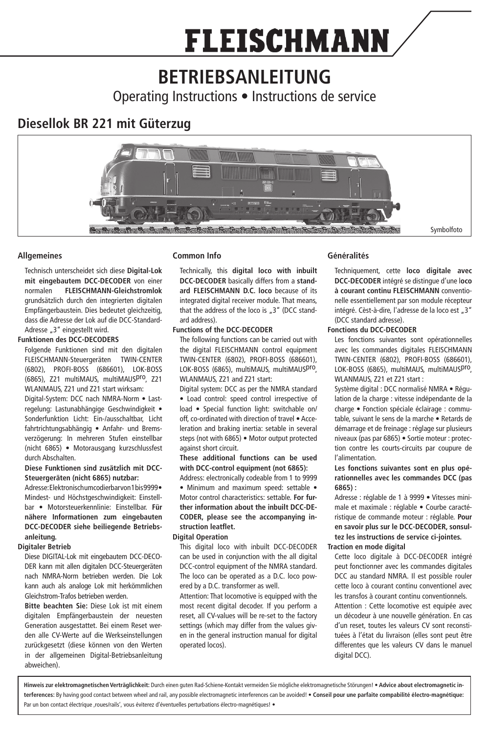# **FLEISCHMANN**

# **BETRIEBSANLEITUNG**

Operating Instructions • Instructions de service

## **Diesellok BR 221 mit Güterzug**



#### **Allgemeines**

Technisch unterscheidet sich diese **Digital-Lok mit eingebautem DCC-DECODER** von einer normalen **FLEISCHMANN-Gleichstromlok** grundsätzlich durch den integrierten digitalen Empfängerbaustein. Dies bedeutet gleichzeitig, dass die Adresse der Lok auf die DCC-Standard-Adresse "3" eingestellt wird.

#### **Funktionen des DCC-DECODERS**

Folgende Funktionen sind mit den digitalen FLEISCHMANN-Steuergeräten TWIN-CENTER (6802), PROFI-BOSS (686601), LOK-BOSS (6865), Z21 multiMAUS, multiMAUSpro, Z21 WLANMAUS, 721 und 721 start wirksam:

Digital-System: DCC nach NMRA-Norm • Lastregelung: Lastunabhängige Geschwindigkeit • Sonderfunktion Licht: Ein-/ausschaltbar, Licht fahrtrichtungsabhängig • Anfahr- und Bremsverzögerung: In mehreren Stufen einstellbar (nicht 6865) • Motorausgang kurzschlussfest durch Abschalten.

#### **Diese Funktionen sind zusätzlich mit DCC-Steuergeräten (nicht 6865) nutzbar:**

Adresse: Elektronisch umcodierbar von 1 bis 9999 · Mindest- und Höchstgeschwindigkeit: Einstellbar • Motorsteuerkennlinie: Einstellbar. **Für nähere Informationen zum eingebauten DCC-DECODER siehe beiliegende Betriebsanleitung.**

#### **Digitaler Betrieb**

Diese DIGITAL-Lok mit eingebautem DCC-DECO-DER kann mit allen digitalen DCC-Steuergeräten nach NMRA-Norm betrieben werden. Die Lok kann auch als analoge Lok mit herkömmlichen Gleichstrom-Trafos betrieben werden.

**Bitte beachten Sie:** Diese Lok ist mit einem digitalen Empfängerbaustein der neuesten Generation ausgestattet. Bei einem Reset werden alle CV-Werte auf die Werkseinstellungen zurückgesetzt (diese können von den Werten in der allgemeinen Digital-Betriebsanleitung abweichen).

#### **Common Info**

Technically, this **digital loco with inbuilt DCC-DECODER** basically differs from a **standard FLEISCHMANN D.C. loco** because of its integrated digital receiver module. That means that the address of the loco is "3" (DCC standard address).

#### **Functions of the DCC-DECODER**

The following functions can be carried out with the digital FLEISCHMANN control equipment TWIN-CENTER (6802), PROFI-BOSS (686601), LOK-BOSS (6865), multiMAUS, multiMAUSpro, WLANMAUS, Z21 and Z21 start:

Digital system: DCC as per the NMRA standard • Load control: speed control irrespective of load • Special function light: switchable on/ off, co-ordinated with direction of travel • Acceleration and braking inertia: setable in several steps (not with 6865) • Motor output protected against short circuit.

**These additional functions can be used with DCC-control equipment (not 6865):**

Address: electronically codeable from 1 to 9999 • Minimum and maximum speed: settable • Motor control characteristics: settable. **For further information about the inbuilt DCC-DE-CODER, please see the accompanying instruction leatflet.** 

#### **Digital Operation**

This digital loco with inbuilt DCC-DECODER can be used in conjunction with the all digital DCC-control equipment of the NMRA standard. The loco can be operated as a D.C. loco powered by a D.C. transformer as well.

Attention: That locomotive is equipped with the most recent digital decoder. If you perform a reset, all CV-values will be re-set to the factory settings (which may differ from the values given in the general instruction manual for digital operated locos).

#### **Généralités**

Techniquement, cette **loco digitale avec DCC-DECODER** intégré se distingue d'une l**oco à courant continu FLEISCHMANN** conventionelle essentiellement par son module récepteur intégré. Cèst-à-dire, l'adresse de la loco est "3" (DCC standard adresse).

#### **Fonctions du DCC-DECODER**

Les fonctions suivantes sont opérationnelles avec les commandes digitales FLEISCHMANN TWIN-CENTER (6802), PROFI-BOSS (686601), LOK-BOSS (6865), multiMAUS, multiMAUSpro, WLANMAUS, Z21 et Z21 start :

Système digital : DCC normalisé NMRA · Régulation de la charge : vitesse indépendante de la charge • Fonction spéciale éclairage : commutable, suivant le sens de la marche • Retards de démarrage et de freinage : réglage sur plusieurs niveaux (pas par 6865) • Sortie moteur : protection contre les courts-circuits par coupure de l'alimentation.

#### **Les fonctions suivantes sont en plus opérationnelles avec les commandes DCC (pas 6865) :**

Adresse : réglable de 1 à 9999 • Vitesses minimale et maximale : réglable • Courbe caractéristique de commande moteur : réglable. **Pour en savoir plus sur le DCC-DECODER, sonsultez les instructions de service ci-jointes.**

#### **Traction en mode digital**

Cette loco digitale à DCC-DECODER intégré peut fonctionner avec les commandes digitales DCC au standard NMRA. Il est possible rouler cette loco à courant continu conventionel avec les transfos à courant continu conventionnels. Attention : Cette locomotive est equipée avec un décodeur à une nouvelle génération. En cas

d'un reset, toutes les valeurs CV sont reconstituées à l'état du livraison (elles sont peut être differentes que les valeurs CV dans le manuel digital DCC).

**Hinweis zur elektromagnetischen Verträglichkeit:** Durch einen guten Rad-Schiene-Kontakt vermeiden Sie mögliche elektromagnetische Störungen! • **Advice about electromagnetic interferences:** By having good contact between wheel and rail, any possible electromagnetic interferences can be avoided! • **Conseil pour une parfaite compabilité électro-magnétique:** Par un bon contact électrique ,roues/rails', vous éviterez d'éventuelles perturbations électro-magnétiques! •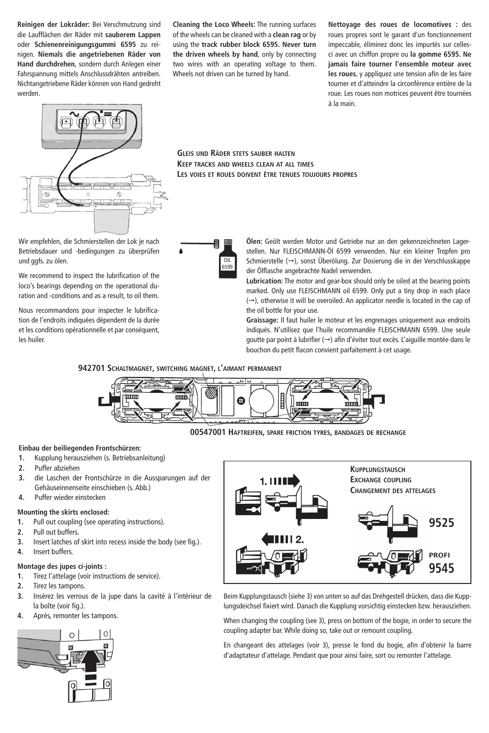**Reinigen der Lokräder:** Bei Verschmutzung sind die Laufflächen der Räder mit **sauberem Lappen** oder **Schienenreinigungsgummi 6595** zu reinigen. **Niemals die angetriebenen Räder von Hand durchdrehen**, sondern durch Anlegen einer Fahrspannung mittels Anschlussdrähten antreiben. Nichtangetriebene Räder können von Hand gedreht werden.

**Cleaning the Loco Wheels:** The running surfaces of the wheels can be cleaned with a **clean rag** or by using the **track rubber block 6595. Never turn the driven wheels by hand**, only by connecting two wires with an operating voltage to them. Wheels not driven can be turned by hand.

**Nettoyage des roues de locomotives :** des roues propres sont le garant d'un fonctionnement impeccable, éliminez donc les impurtés sur cellesci avec un chiffon propre ou **la gomme 6595. Ne jamais faire tourner l'ensemble moteur avec les roues**, y appliquez une tension afin de les faire tourner et d'atteindre la circonférence entière de la roue. Les roues non motrices peuvent être tournées à la main.



Wir empfehlen, die Schmierstellen der Lok je nach Betriebsdauer und -bedingungen zu überprüfen und ggfs. zu ölen.

We recommend to inspect the lubrification of the loco's bearings depending on the operational duration and -conditions and as a result, to oil them.

Nous recommandons pour inspecter le lubrification de l'endroits indiquées dépendent de la durée et les conditions opérationnelle et par conséquent, les huiler.

**Gleis und Räder stets sauber halten Keep tracks and wheels clean at all times Les voies et roues doivent être tenues toujours propres**



**Ölen:** Geölt werden Motor und Getriebe nur an den gekennzeichneten Lagerstellen. Nur FLEISCHMANN-Öl 6599 verwenden. Nur ein kleiner Tropfen pro Schmierstelle  $(\rightarrow)$ , sonst Überölung. Zur Dosierung die in der Verschlusskappe der Ölflasche angebrachte Nadel verwenden.

**Lubrication:** The motor and gear-box should only be oiled at the bearing points marked. Only use FLEISCHMANN oil 6599. Only put a tiny drop in each place  $(\rightarrow)$ , otherwise it will be overoiled. An applicator needle is located in the cap of the oil bottle for your use.

**Graissage:** Il faut huiler le moteur et les engrenages uniquement aux endroits indiqués. N'utilisez que l'huile recommandée FLEISCHMANN 6599. Une seule goutte par point à lubrifier  $(\rightarrow)$  afin d'éviter tout excès. L'aiguille montée dans le bouchon du petit flacon convient parfaitement à cet usage.

**942701 Schaltmagnet, switching magnet, l'aimant permanent**



**00547001 Haftreifen, spare friction tyres, bandages de rechange**

#### **Einbau der beiliegenden Frontschürzen:**

- **1.** Kupplung herausziehen (s. Betriebsanleitung)
- **2.** Puffer abziehen
- **3.** die Laschen der Frontschürze in die Aussparungen auf der Gehäuseinnenseite einschieben (s. Abb.)
- **4.** Puffer wieder einstecken

#### **Mounting the skirts enclosed:**

- **1.** Pull out coupling (see operating instructions).
- **2.** Pull out buffers.
- **3.** Insert latches of skirt into recess inside the body (see fig.).
- **4.** Insert buffers.

#### **Montage des jupes ci-joints :**

- **1.** Tirez l'attelage (voir instructions de service).
- **2.** Tirez les tampons.
- **3.** Insérez les verrous de la jupe dans la cavité à l'intérieur de la boîte (voir fig.).
- **4.** Aprés, remonter les tampons.





Beim Kupplungstausch (siehe 3) von unten so auf das Drehgestell drücken, dass die Kupplungsdeichsel fixiert wird. Danach die Kupplung vorsichtig einstecken bzw. herausziehen.

When changing the coupling (see 3), press on bottom of the bogie, in order to secure the coupling adapter bar. While doing so, take out or remount coupling.

En changeant des attelages (voir 3), presse le fond du bogie, afin d'obtenir la barre d'adaptateur d'attelage. Pendant que pour ainsi faire, sort ou remonter l'attelage.